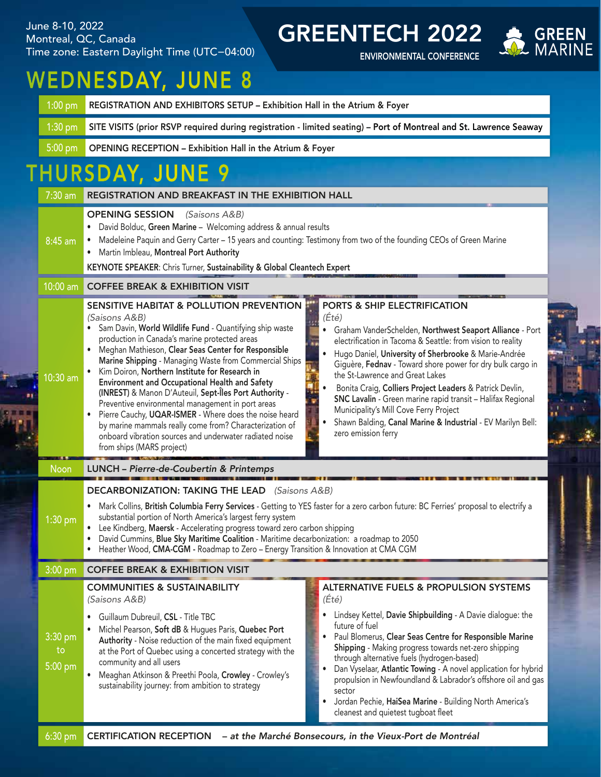June 8-10, 2022 Montreal, QC, Canada Time zone: Eastern Daylight Time (UTC−04:00)

GREENTECH 2022

ENVIRONMENTAL CONFERENCE



## WEDNESDAY, JUNE 8

| 1:00 pm REGISTRATION AND EXHIBITORS SETUP - Exhibition Hall in the Atrium & Foyer                                          |
|----------------------------------------------------------------------------------------------------------------------------|
| 1:30 pm SITE VISITS (prior RSVP required during registration - limited seating) – Port of Montreal and St. Lawrence Seaway |
| 5:00 pm OPENING RECEPTION - Exhibition Hall in the Atrium & Foyer                                                          |

## THURSDAY, JUNE 9

| $7:30$ am                  | <b>REGISTRATION AND BREAKFAST IN THE EXHIBITION HALL</b>                                                                                                                                                                                                                                                                                                                                                                                                                                                                                                                                                                                                                                                                                                                                                                                                                                                                                                                                                                                                                                                                                                                                                                                                                                                       |  |  |
|----------------------------|----------------------------------------------------------------------------------------------------------------------------------------------------------------------------------------------------------------------------------------------------------------------------------------------------------------------------------------------------------------------------------------------------------------------------------------------------------------------------------------------------------------------------------------------------------------------------------------------------------------------------------------------------------------------------------------------------------------------------------------------------------------------------------------------------------------------------------------------------------------------------------------------------------------------------------------------------------------------------------------------------------------------------------------------------------------------------------------------------------------------------------------------------------------------------------------------------------------------------------------------------------------------------------------------------------------|--|--|
| 8:45 am                    | <b>OPENING SESSION</b><br>(Saisons A&B)<br>David Bolduc, Green Marine - Welcoming address & annual results<br>Madeleine Paquin and Gerry Carter - 15 years and counting: Testimony from two of the founding CEOs of Green Marine<br>Martin Imbleau, Montreal Port Authority<br>KEYNOTE SPEAKER: Chris Turner, Sustainability & Global Cleantech Expert                                                                                                                                                                                                                                                                                                                                                                                                                                                                                                                                                                                                                                                                                                                                                                                                                                                                                                                                                         |  |  |
| 10:00 am                   | <b>COFFEE BREAK &amp; EXHIBITION VISIT</b>                                                                                                                                                                                                                                                                                                                                                                                                                                                                                                                                                                                                                                                                                                                                                                                                                                                                                                                                                                                                                                                                                                                                                                                                                                                                     |  |  |
| 10:30 am                   | SENSITIVE HABITAT & POLLUTION PREVENTION<br>PORTS & SHIP ELECTRIFICATION<br>(Été)<br>(Saisons A&B)<br>Sam Davin, World Wildlife Fund - Quantifying ship waste<br>Graham VanderSchelden, Northwest Seaport Alliance - Port<br>production in Canada's marine protected areas<br>electrification in Tacoma & Seattle: from vision to reality<br>Meghan Mathieson, Clear Seas Center for Responsible<br>Hugo Daniel, University of Sherbrooke & Marie-Andrée<br>Marine Shipping - Managing Waste from Commercial Ships<br>Giguère, Fednav - Toward shore power for dry bulk cargo in<br>Kim Doiron, Northern Institute for Research in<br>the St-Lawrence and Great Lakes<br>Environment and Occupational Health and Safety<br>Bonita Craig, Colliers Project Leaders & Patrick Devlin,<br>(INREST) & Manon D'Auteuil, Sept-Îles Port Authority -<br>SNC Lavalin - Green marine rapid transit - Halifax Regional<br>Preventive environmental management in port areas<br>Municipality's Mill Cove Ferry Project<br>Pierre Cauchy, UQAR-ISMER - Where does the noise heard<br>Shawn Balding, Canal Marine & Industrial - EV Marilyn Bell:<br>by marine mammals really come from? Characterization of<br>zero emission ferry<br>onboard vibration sources and underwater radiated noise<br>from ships (MARS project) |  |  |
| <b>Noon</b>                | LUNCH - Pierre-de-Coubertin & Printemps                                                                                                                                                                                                                                                                                                                                                                                                                                                                                                                                                                                                                                                                                                                                                                                                                                                                                                                                                                                                                                                                                                                                                                                                                                                                        |  |  |
| 1:30 pm                    | <b>DECARBONIZATION: TAKING THE LEAD</b> (Saisons A&B)<br>Mark Collins, British Columbia Ferry Services - Getting to YES faster for a zero carbon future: BC Ferries' proposal to electrify a<br>substantial portion of North America's largest ferry system<br>Lee Kindberg, Maersk - Accelerating progress toward zero carbon shipping<br>David Cummins, Blue Sky Maritime Coalition - Maritime decarbonization: a roadmap to 2050<br>Heather Wood, CMA-CGM - Roadmap to Zero - Energy Transition & Innovation at CMA CGM                                                                                                                                                                                                                                                                                                                                                                                                                                                                                                                                                                                                                                                                                                                                                                                     |  |  |
| 3:00 pm                    | <b>COFFEE BREAK &amp; EXHIBITION VISIT</b>                                                                                                                                                                                                                                                                                                                                                                                                                                                                                                                                                                                                                                                                                                                                                                                                                                                                                                                                                                                                                                                                                                                                                                                                                                                                     |  |  |
| 3:30 pm<br>to<br>$5:00$ pm | <b>ALTERNATIVE FUELS &amp; PROPULSION SYSTEMS</b><br><b>COMMUNITIES &amp; SUSTAINABILITY</b><br>(Ét <sub>e</sub> )<br>(Saisons A&B)<br>• Lindsey Kettel, Davie Shipbuilding - A Davie dialogue: the<br>• Guillaum Dubreuil, CSL - Title TBC<br>future of fuel<br>Michel Pearson, Soft dB & Hugues Paris, Quebec Port<br>Paul Blomerus, Clear Seas Centre for Responsible Marine<br>$\bullet$<br>Authority - Noise reduction of the main fixed equipment<br>Shipping - Making progress towards net-zero shipping<br>at the Port of Quebec using a concerted strategy with the<br>through alternative fuels (hydrogen-based)<br>community and all users<br>Dan Vyselaar, Atlantic Towing - A novel application for hybrid<br>٠<br>Meaghan Atkinson & Preethi Poola, Crowley - Crowley's<br>propulsion in Newfoundland & Labrador's offshore oil and gas<br>sustainability journey: from ambition to strategy<br>sector<br>Jordan Pechie, HaiSea Marine - Building North America's<br>٠<br>cleanest and quietest tugboat fleet                                                                                                                                                                                                                                                                                    |  |  |
| $6:30$ pm                  | - at the Marché Bonsecours, in the Vieux-Port de Montréal<br><b>CERTIFICATION RECEPTION</b>                                                                                                                                                                                                                                                                                                                                                                                                                                                                                                                                                                                                                                                                                                                                                                                                                                                                                                                                                                                                                                                                                                                                                                                                                    |  |  |